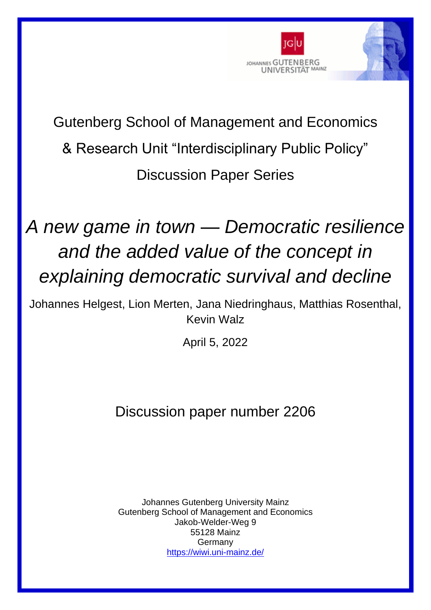

## Gutenberg School of Management and Economics & Research Unit "Interdisciplinary Public Policy" Discussion Paper Series

# *A new game in town — Democratic resilience and the added value of the concept in explaining democratic survival and decline*

Johannes Helgest, Lion Merten, Jana Niedringhaus, Matthias Rosenthal, Kevin Walz

April 5, 2022

### Discussion paper number 2206

Johannes Gutenberg University Mainz Gutenberg School of Management and Economics Jakob-Welder-Weg 9 55128 Mainz Germany <https://wiwi.uni-mainz.de/>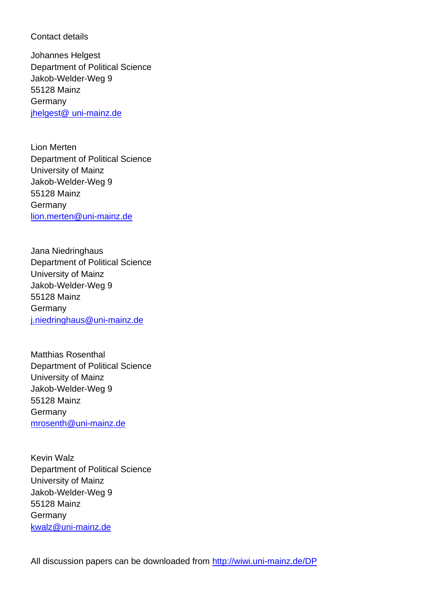#### Contact details

Johannes Helgest Department of Political Science Jakob-Welder-Weg 9 55128 Mainz **Germany** jhelgest@ [uni-mainz.de](mailto:jhelgest@nhh.no)

Lion Merten Department of Political Science University of Mainz Jakob-Welder-Weg 9 55128 Mainz Germany lion.merten@uni-mainz.de

Jana Niedringhaus Department of Political Science University of Mainz Jakob-Welder-Weg 9 55128 Mainz **Germany** [j.niedringhaus@uni-mainz.de](mailto:j.niedringhaus@uni-mainz.de)

Matthias Rosenthal Department of Political Science University of Mainz Jakob-Welder-Weg 9 55128 Mainz Germany [mrosenth@uni-mainz.de](mailto:mrosenth@uni-mainz.de)

Kevin Walz Department of Political Science University of Mainz Jakob-Welder-Weg 9 55128 Mainz **Germany** [kwalz@uni-mainz.de](mailto:kwalz@uni-mainz.de)

All discussion papers can be downloaded from<http://wiwi.uni-mainz.de/DP>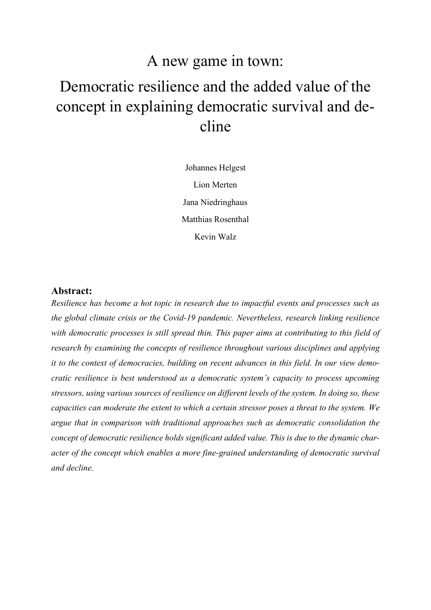### A new game in town:

## Democratic resilience and the added value of the concept in explaining democratic survival and decline

Johannes Helgest Lion Merten Jana Niedringhaus Matthias Rosenthal Kevin Walz

#### **Abstract:**

*Resilience has become a hot topic in research due to impactful events and processes such as the global climate crisis or the Covid-19 pandemic. Nevertheless, research linking resilience with democratic processes is still spread thin. This paper aims at contributing to this field of research by examining the concepts of resilience throughout various disciplines and applying it to the context of democracies, building on recent advances in this field. In our view democratic resilience is best understood as a democratic system's capacity to process upcoming stressors, using various sources of resilience on different levels of the system. In doing so, these capacities can moderate the extent to which a certain stressor poses a threat to the system. We argue that in comparison with traditional approaches such as democratic consolidation the concept of democratic resilience holds significant added value. This is due to the dynamic character of the concept which enables a more fine-grained understanding of democratic survival and decline.*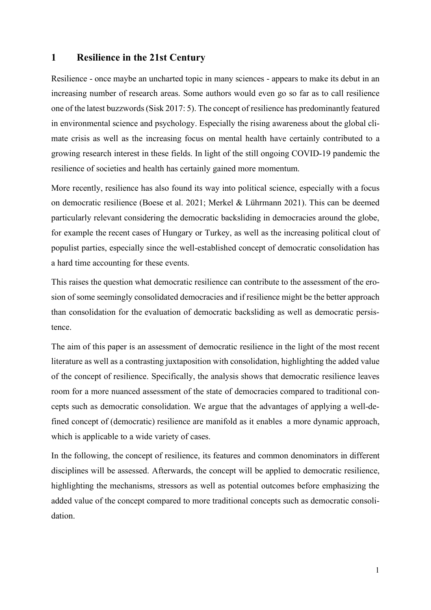#### **1 Resilience in the 21st Century**

Resilience - once maybe an uncharted topic in many sciences - appears to make its debut in an increasing number of research areas. Some authors would even go so far as to call resilience one of the latest buzzword[s\(Sisk 2017: 5\).](#page-21-0) The concept of resilience has predominantly featured in environmental science and psychology. Especially the rising awareness about the global climate crisis as well as the increasing focus on mental health have certainly contributed to a growing research interest in these fields. In light of the still ongoing COVID-19 pandemic the resilience of societies and health has certainly gained more momentum.

More recently, resilience has also found its way into political science, especially with a focus on democratic resilience [\(Boese et al. 2021](#page-19-0)[; Merkel & Lührmann 2021\).](#page-20-0) This can be deemed particularly relevant considering the democratic backsliding in democracies around the globe, for example the recent cases of Hungary or Turkey, as well as the increasing political clout of populist parties, especially since the well-established concept of democratic consolidation has a hard time accounting for these events.

This raises the question what democratic resilience can contribute to the assessment of the erosion of some seemingly consolidated democracies and if resilience might be the better approach than consolidation for the evaluation of democratic backsliding as well as democratic persistence.

The aim of this paper is an assessment of democratic resilience in the light of the most recent literature as well as a contrasting juxtaposition with consolidation, highlighting the added value of the concept of resilience. Specifically, the analysis shows that democratic resilience leaves room for a more nuanced assessment of the state of democracies compared to traditional concepts such as democratic consolidation. We argue that the advantages of applying a well-defined concept of (democratic) resilience are manifold as it enables a more dynamic approach, which is applicable to a wide variety of cases.

In the following, the concept of resilience, its features and common denominators in different disciplines will be assessed. Afterwards, the concept will be applied to democratic resilience, highlighting the mechanisms, stressors as well as potential outcomes before emphasizing the added value of the concept compared to more traditional concepts such as democratic consolidation.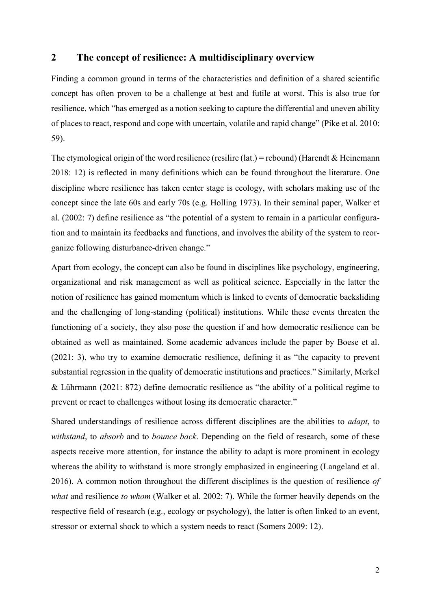#### **2 The concept of resilience: A multidisciplinary overview**

Finding a common ground in terms of the characteristics and definition of a shared scientific concept has often proven to be a challenge at best and futile at worst. This is also true for resilience, which "has emerged as a notion seeking to capture the differential and uneven ability of places to react, respond and cope with uncertain, volatile and rapid change" [\(Pike et al. 2010:](#page-20-1)  [59\).](#page-20-1)

The etymological origin of the word resilience (resilire (lat.) = rebound) (Harendt & Heinemann [2018: 12\)](#page-19-1) is reflected in many definitions which can be found throughout the literature. One discipline where resilience has taken center stage is ecology, with scholars making use of the concept since the late 60s and early 70s [\(e.g. Holling 1973\).](#page-19-2) In their seminal paper, [Walker et](#page-21-1)  [al.](#page-21-1) [\(2002: 7\)](#page-21-1) define resilience as "the potential of a system to remain in a particular configuration and to maintain its feedbacks and functions, and involves the ability of the system to reorganize following disturbance-driven change."

Apart from ecology, the concept can also be found in disciplines like psychology, engineering, organizational and risk management as well as political science. Especially in the latter the notion of resilience has gained momentum which is linked to events of democratic backsliding and the challenging of long-standing (political) institutions. While these events threaten the functioning of a society, they also pose the question if and how democratic resilience can be obtained as well as maintained. Some academic advances include the paper by [Boese et al.](#page-19-0) [\(2021: 3\),](#page-19-0) who try to examine democratic resilience, defining it as "the capacity to prevent substantial regression in the quality of democratic institutions and practices." Similarly, [Merkel](#page-20-0)  [& Lührmann](#page-20-0) [\(2021: 872\)](#page-20-0) define democratic resilience as "the ability of a political regime to prevent or react to challenges without losing its democratic character."

Shared understandings of resilience across different disciplines are the abilities to *adapt*, to *withstand*, to *absorb* and to *bounce back*. Depending on the field of research, some of these aspects receive more attention, for instance the ability to adapt is more prominent in ecology whereas the ability to withstand is more strongly emphasized in engineering (Langeland et al. [2016\).](#page-20-2) A common notion throughout the different disciplines is the question of resilience *of what* and resilience *to whom* [\(Walker et al. 2002: 7\).](#page-21-1) While the former heavily depends on the respective field of research (e.g., ecology or psychology), the latter is often linked to an event, stressor or external shock to which a system needs to react [\(Somers 2009: 12\).](#page-21-2)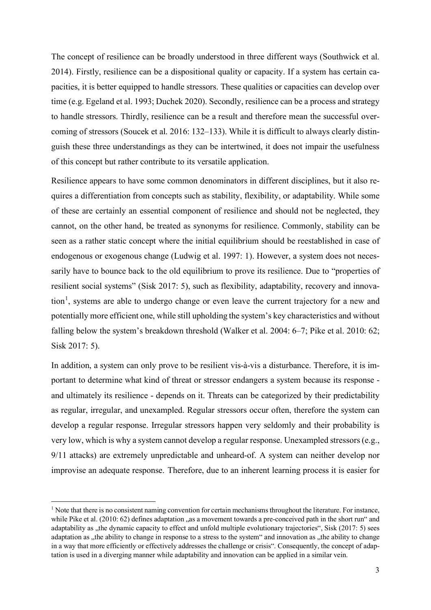The concept of resilience can be broadly understood in three different ways [\(Southwick et al.](#page-21-3)  [2014\).](#page-21-3) Firstly, resilience can be a dispositional quality or capacity. If a system has certain capacities, it is better equipped to handle stressors. These qualities or capacities can develop over tim[e \(e.g. Egeland et al. 1993](#page-19-3)[; Duchek 2020\).](#page-19-4) Secondly, resilience can be a process and strategy to handle stressors. Thirdly, resilience can be a result and therefore mean the successful overcoming of stressors [\(Soucek et al. 2016: 132–133\).](#page-21-4) While it is difficult to always clearly distinguish these three understandings as they can be intertwined, it does not impair the usefulness of this concept but rather contribute to its versatile application.

Resilience appears to have some common denominators in different disciplines, but it also requires a differentiation from concepts such as stability, flexibility, or adaptability. While some of these are certainly an essential component of resilience and should not be neglected, they cannot, on the other hand, be treated as synonyms for resilience. Commonly, stability can be seen as a rather static concept where the initial equilibrium should be reestablished in case of endogenous or exogenous change [\(Ludwig et al. 1997: 1\).](#page-20-3) However, a system does not necessarily have to bounce back to the old equilibrium to prove its resilience. Due to "properties of resilient social systems" [\(Sisk 2017: 5\),](#page-21-0) such as flexibility, adaptability, recovery and innova-tion<sup>[1](#page-5-0)</sup>, systems are able to undergo change or even leave the current trajectory for a new and potentially more efficient one, while still upholding the system's key characteristics and without falling below the system's breakdown threshold [\(Walker et al. 2004: 6–7](#page-21-5)[; Pike et al. 2010: 62](#page-20-1); [Sisk 2017: 5\).](#page-21-0)

In addition, a system can only prove to be resilient vis-à-vis a disturbance. Therefore, it is important to determine what kind of threat or stressor endangers a system because its response and ultimately its resilience - depends on it. Threats can be categorized by their predictability as regular, irregular, and unexampled. Regular stressors occur often, therefore the system can develop a regular response. Irregular stressors happen very seldomly and their probability is very low, which is why a system cannot develop a regular response. Unexampled stressors (e.g., 9/11 attacks) are extremely unpredictable and unheard-of. A system can neither develop nor improvise an adequate response. Therefore, due to an inherent learning process it is easier for

<span id="page-5-0"></span> $<sup>1</sup>$  Note that there is no consistent naming convention for certain mechanisms throughout the literature. For instance,</sup> while [Pike et al.](#page-20-1) [\(2010: 62\)](#page-20-1) defines adaptation "as a movement towards a pre-conceived path in the short run" and adaptability as "the dynamic capacity to effect and unfold multiple evolutionary trajectories", [Sisk](#page-21-0) [\(2017: 5\)](#page-21-0) sees adaptation as "the ability to change in response to a stress to the system" and innovation as "the ability to change in a way that more efficiently or effectively addresses the challenge or crisis". Consequently, the concept of adaptation is used in a diverging manner while adaptability and innovation can be applied in a similar vein.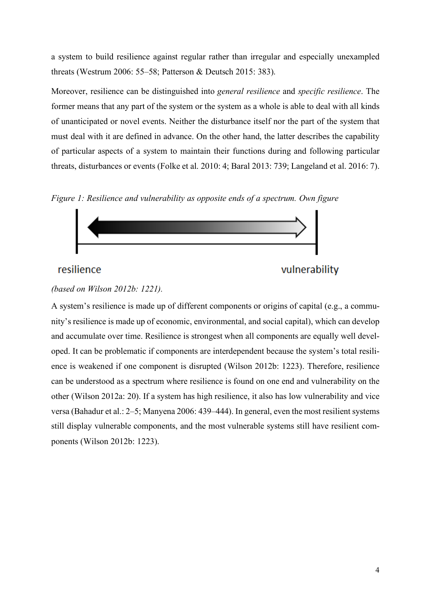a system to build resilience against regular rather than irregular and especially unexampled threats (Westrum 2006: 55–58; Patterson & Deutsch 2015: 383).

Moreover, resilience can be distinguished into *general resilience* and *specific resilience*. The former means that any part of the system or the system as a whole is able to deal with all kinds of unanticipated or novel events. Neither the disturbance itself nor the part of the system that must deal with it are defined in advance. On the other hand, the latter describes the capability of particular aspects of a system to maintain their functions during and following particular threats, disturbances or events [\(Folke et al. 2010: 4](#page-19-5)[; Baral 2013: 739](#page-19-6)[; Langeland et al. 2016: 7\).](#page-20-2)

*Figure 1: Resilience and vulnerability as opposite ends of a spectrum. Own figure* 



#### resilience

```
vulnerability
```
#### *(based on Wilson 2012b: 1221).*

A system's resilience is made up of different components or origins of capital (e.g., a community's resilience is made up of economic, environmental, and social capital), which can develop and accumulate over time. Resilience is strongest when all components are equally well developed. It can be problematic if components are interdependent because the system's total resilience is weakened if one component is disrupted [\(Wilson 2012b: 1223\).](#page-21-6) Therefore, resilience can be understood as a spectrum where resilience is found on one end and vulnerability on the other [\(Wilson 2012a: 20\).](#page-21-7) If a system has high resilience, it also has low vulnerability and vice versa [\(Bahadur et al.: 2–5](#page-19-7)[; Manyena 2006: 439–444\).](#page-20-4) In general, even the most resilient systems still display vulnerable components, and the most vulnerable systems still have resilient components [\(Wilson 2012b: 1223\).](#page-21-6)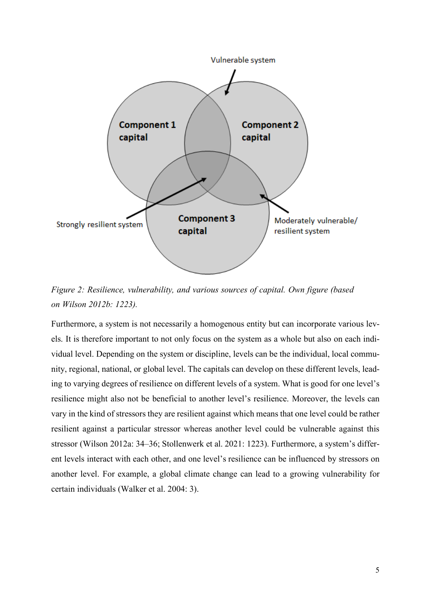

*Figure 2: Resilience, vulnerability, and various sources of capital. Own figure [\(based](#page-21-6)  [on Wilson 2012b: 1223\).](#page-21-6)* 

Furthermore, a system is not necessarily a homogenous entity but can incorporate various levels. It is therefore important to not only focus on the system as a whole but also on each individual level. Depending on the system or discipline, levels can be the individual, local community, regional, national, or global level. The capitals can develop on these different levels, leading to varying degrees of resilience on different levels of a system. What is good for one level's resilience might also not be beneficial to another level's resilience. Moreover, the levels can vary in the kind of stressors they are resilient against which means that one level could be rather resilient against a particular stressor whereas another level could be vulnerable against this stressor [\(Wilson 2012a: 34–36](#page-21-7)[; Stollenwerk et al. 2021: 1223\).](#page-21-8) Furthermore, a system's different levels interact with each other, and one level's resilience can be influenced by stressors on another level. For example, a global climate change can lead to a growing vulnerability for certain individuals [\(Walker et al. 2004: 3\).](#page-21-5)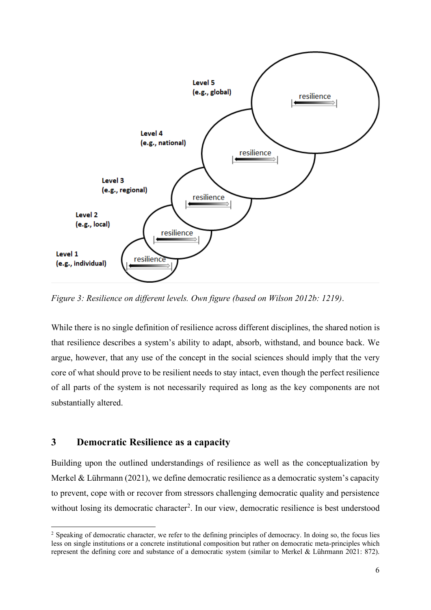

*Figure 3: Resilience on different levels. Own figure [\(based on Wilson 2012b: 1219\)](#page-21-6)*.

While there is no single definition of resilience across different disciplines, the shared notion is that resilience describes a system's ability to adapt, absorb, withstand, and bounce back. We argue, however, that any use of the concept in the social sciences should imply that the very core of what should prove to be resilient needs to stay intact, even though the perfect resilience of all parts of the system is not necessarily required as long as the key components are not substantially altered.

#### **3 Democratic Resilience as a capacity**

Building upon the outlined understandings of resilience as well as the conceptualization by Merkel & Lührmann (2021), we define democratic resilience as a democratic system's capacity to prevent, cope with or recover from stressors challenging democratic quality and persistence without losing its democratic character<sup>[2](#page-8-0)</sup>. In our view, democratic resilience is best understood

<span id="page-8-0"></span><sup>&</sup>lt;sup>2</sup> Speaking of democratic character, we refer to the defining principles of democracy. In doing so, the focus lies less on single institutions or a concrete institutional composition but rather on democratic meta-principles which represent the defining core and substance of a democratic system [\(similar to Merkel & Lührmann 2021: 872\).](#page-20-0)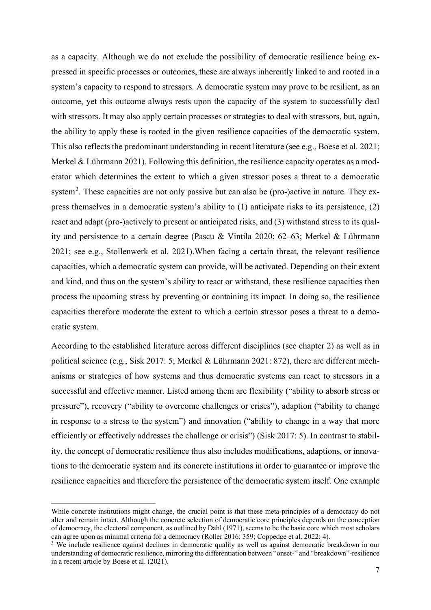as a capacity. Although we do not exclude the possibility of democratic resilience being expressed in specific processes or outcomes, these are always inherently linked to and rooted in a system's capacity to respond to stressors. A democratic system may prove to be resilient, as an outcome, yet this outcome always rests upon the capacity of the system to successfully deal with stressors. It may also apply certain processes or strategies to deal with stressors, but, again, the ability to apply these is rooted in the given resilience capacities of the democratic system. This also reflects the predominant understanding in recent literature [\(see e.g., Boese et al. 2021](#page-19-0)[;](#page-20-0)  [Merkel & Lührmann 2021\).](#page-20-0) Following this definition, the resilience capacity operates as a moderator which determines the extent to which a given stressor poses a threat to a democratic system<sup>[3](#page-9-0)</sup>. These capacities are not only passive but can also be (pro-)active in nature. They express themselves in a democratic system's ability to (1) anticipate risks to its persistence, (2) react and adapt (pro-)actively to present or anticipated risks, and (3) withstand stress to its quality and persistence to a certain degree [\(Pascu & Vintila 2020: 62–63](#page-20-5)[; Merkel & Lührmann](#page-20-0)  [2021](#page-20-0)[; see e.g., Stollenwerk et al. 2021\).](#page-21-8)When facing a certain threat, the relevant resilience capacities, which a democratic system can provide, will be activated. Depending on their extent and kind, and thus on the system's ability to react or withstand, these resilience capacities then process the upcoming stress by preventing or containing its impact. In doing so, the resilience capacities therefore moderate the extent to which a certain stressor poses a threat to a democratic system.

According to the established literature across different disciplines (see chapter 2) as well as in political science [\(e.g., Sisk 2017: 5](#page-21-0)[; Merkel & Lührmann 2021: 872\),](#page-20-0) there are different mechanisms or strategies of how systems and thus democratic systems can react to stressors in a successful and effective manner. Listed among them are flexibility ("ability to absorb stress or pressure"), recovery ("ability to overcome challenges or crises"), adaption ("ability to change in response to a stress to the system") and innovation ("ability to change in a way that more efficiently or effectively addresses the challenge or crisis") [\(Sisk 2017: 5\).](#page-21-0) In contrast to stability, the concept of democratic resilience thus also includes modifications, adaptions, or innovations to the democratic system and its concrete institutions in order to guarantee or improve the resilience capacities and therefore the persistence of the democratic system itself. One example

While concrete institutions might change, the crucial point is that these meta-principles of a democracy do not alter and remain intact. Although the concrete selection of democratic core principles depends on the conception of democracy, the electoral component, as outlined by [Dahl](#page-19-8) [\(1971\),](#page-19-8) seems to be the basic core which most scholars can agree upon as minimal criteria for a democracy [\(Roller 2016: 359](#page-21-9)[; Coppedge et al. 2022: 4\).](#page-19-9)

<span id="page-9-0"></span><sup>&</sup>lt;sup>3</sup> We include resilience against declines in democratic quality as well as against democratic breakdown in our understanding of democratic resilience, mirroring the differentiation between "onset-" and "breakdown"-resilience in a recent article by [Boese et al.](#page-19-0) [\(2021\).](#page-19-0)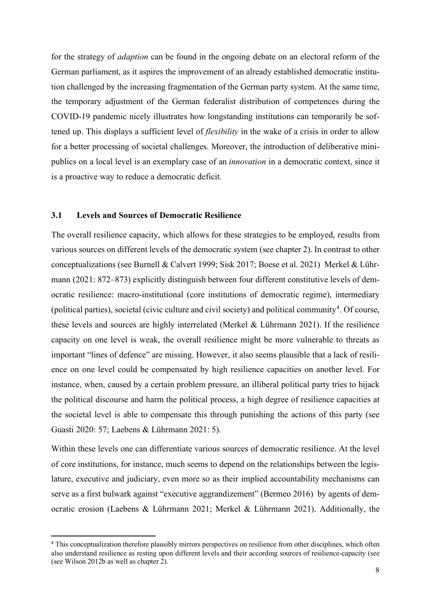for the strategy of *adaption* can be found in the ongoing debate on an electoral reform of the German parliament, as it aspires the improvement of an already established democratic institution challenged by the increasing fragmentation of the German party system. At the same time, the temporary adjustment of the German federalist distribution of competences during the COVID-19 pandemic nicely illustrates how longstanding institutions can temporarily be softened up. This displays a sufficient level of *flexibility* in the wake of a crisis in order to allow for a better processing of societal challenges. Moreover, the introduction of deliberative minipublics on a local level is an exemplary case of an *innovation* in a democratic context, since it is a proactive way to reduce a democratic deficit.

#### **3.1 Levels and Sources of Democratic Resilience**

The overall resilience capacity, which allows for these strategies to be employed, results from various sources on different levels of the democratic system (see chapter 2). In contrast to other conceptualizations [\(see Burnell & Calvert 1999](#page-19-10)[; Sisk 2017](#page-21-0)[; Boese et al. 2021\)](#page-19-0) [Merkel & Lühr](#page-20-0)[mann](#page-20-0) [\(2021: 872–873\)](#page-20-0) explicitly distinguish between four different constitutive levels of democratic resilience: macro-institutional (core institutions of democratic regime), intermediary (political parties), societal (civic culture and civil society) and political community<sup>[4](#page-10-0)</sup>. Of course, these levels and sources are highly interrelated [\(Merkel & Lührmann 2021\).](#page-20-0) If the resilience capacity on one level is weak, the overall resilience might be more vulnerable to threats as important "lines of defence" are missing. However, it also seems plausible that a lack of resilience on one level could be compensated by high resilience capacities on another level. For instance, when, caused by a certain problem pressure, an illiberal political party tries to hijack the political discourse and harm the political process, a high degree of resilience capacities at the societal level is able to compensate this through punishing the actions of this party [\(see](#page-19-11)  [Guasti 2020: 57](#page-19-11)[; Laebens & Lührmann 2021: 5\).](#page-20-6)

Within these levels one can differentiate various sources of democratic resilience. At the level of core institutions, for instance, much seems to depend on the relationships between the legislature, executive and judiciary, even more so as their implied accountability mechanisms can serve as a first bulwark against "executive aggrandizement" [\(Bermeo 2016\)](#page-19-12) by agents of democratic erosion [\(Laebens & Lührmann 2021](#page-20-6)[; Merkel & Lührmann 2021\).](#page-20-0) Additionally, the

<span id="page-10-0"></span><sup>4</sup> This conceptualization therefore plausibly mirrors perspectives on resilience from other disciplines, which often also understand resilience as resting upon different levels and their according sources of resilience-capacity (see [\(see Wilson 2012b as well as chapter 2\).](#page-21-6)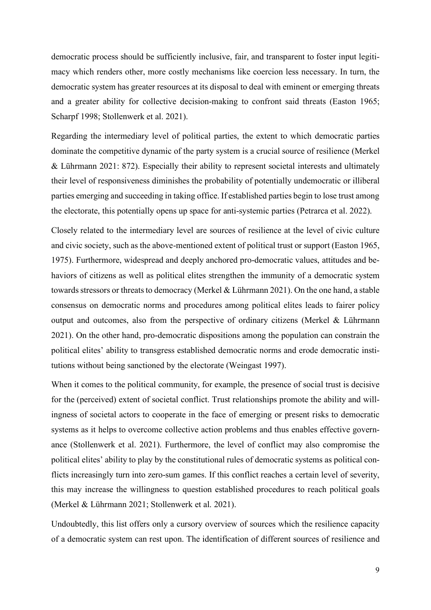democratic process should be sufficiently inclusive, fair, and transparent to foster input legitimacy which renders other, more costly mechanisms like coercion less necessary. In turn, the democratic system has greater resources at its disposal to deal with eminent or emerging threats and a greater ability for collective decision-making to confront said threats [\(Easton 1965](#page-19-13)[;](#page-21-10)  [Scharpf](#page-21-10) 199[8; Stollenwerk et al. 2021\).](#page-21-8)

Regarding the intermediary level of political parties, the extent to which democratic parties dominate the competitive dynamic of the party system is a crucial source of resilience [\(Merkel](#page-20-0)  [& Lührmann 2021: 872\).](#page-20-0) Especially their ability to represent societal interests and ultimately their level of responsiveness diminishes the probability of potentially undemocratic or illiberal parties emerging and succeeding in taking office. If established parties begin to lose trust among the electorate, this potentially opens up space for anti-systemic parties [\(Petrarca et al. 2022\).](#page-20-7)

Closely related to the intermediary level are sources of resilience at the level of civic culture and civic society, such as the above-mentioned extent of political trust or support [\(Easton 1965](#page-19-13)[,](#page-19-14)  [1975\).](#page-19-14) Furthermore, widespread and deeply anchored pro-democratic values, attitudes and behaviors of citizens as well as political elites strengthen the immunity of a democratic system towards stressors or threats to democracy [\(Merkel & Lührmann 2021\).](#page-20-0) On the one hand, a stable consensus on democratic norms and procedures among political elites leads to fairer policy output and outcomes, also from the perspective of ordinary citizens [\(Merkel & Lührmann](#page-20-0)  [2021\).](#page-20-0) On the other hand, pro-democratic dispositions among the population can constrain the political elites' ability to transgress established democratic norms and erode democratic institutions without being sanctioned by the electorate [\(Weingast 1997\).](#page-21-11)

When it comes to the political community, for example, the presence of social trust is decisive for the (perceived) extent of societal conflict. Trust relationships promote the ability and willingness of societal actors to cooperate in the face of emerging or present risks to democratic systems as it helps to overcome collective action problems and thus enables effective governance [\(Stollenwerk et al. 2021\).](#page-21-8) Furthermore, the level of conflict may also compromise the political elites' ability to play by the constitutional rules of democratic systems as political conflicts increasingly turn into zero-sum games. If this conflict reaches a certain level of severity, this may increase the willingness to question established procedures to reach political goals [\(Merkel & Lührmann 2021](#page-20-0)[; Stollenwerk et al. 2021\).](#page-21-8)

Undoubtedly, this list offers only a cursory overview of sources which the resilience capacity of a democratic system can rest upon. The identification of different sources of resilience and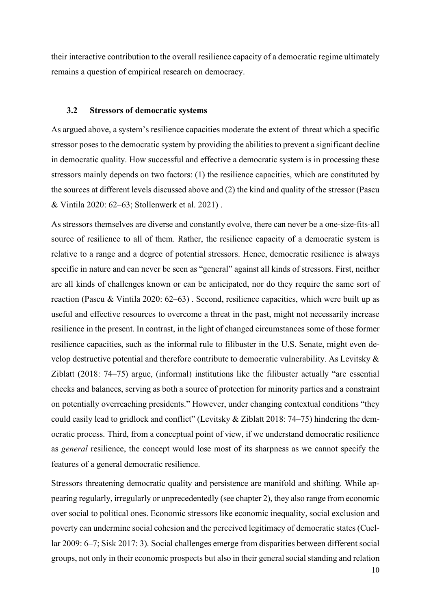their interactive contribution to the overall resilience capacity of a democratic regime ultimately remains a question of empirical research on democracy.

#### **3.2 Stressors of democratic systems**

As argued above, a system's resilience capacities moderate the extent of threat which a specific stressor poses to the democratic system by providing the abilities to prevent a significant decline in democratic quality. How successful and effective a democratic system is in processing these stressors mainly depends on two factors: (1) the resilience capacities, which are constituted by the sources at different levels discussed above and (2) the kind and quality of the stressor [\(Pascu](#page-20-5)  [& Vintila 2020: 62–63](#page-20-5)[; Stollenwerk et al. 2021\)](#page-21-8) .

As stressors themselves are diverse and constantly evolve, there can never be a one-size-fits-all source of resilience to all of them. Rather, the resilience capacity of a democratic system is relative to a range and a degree of potential stressors. Hence, democratic resilience is always specific in nature and can never be seen as "general" against all kinds of stressors. First, neither are all kinds of challenges known or can be anticipated, nor do they require the same sort of reaction [\(Pascu & Vintila 2020: 62–63\)](#page-20-5) . Second, resilience capacities, which were built up as useful and effective resources to overcome a threat in the past, might not necessarily increase resilience in the present. In contrast, in the light of changed circumstances some of those former resilience capacities, such as the informal rule to filibuster in the U.S. Senate, might even develop destructive potential and therefore contribute to democratic vulnerability. As [Levitsky &](#page-20-8)  [Ziblatt](#page-20-8) [\(2018: 74–75\)](#page-20-8) argue, (informal) institutions like the filibuster actually "are essential checks and balances, serving as both a source of protection for minority parties and a constraint on potentially overreaching presidents." However, under changing contextual conditions "they could easily lead to gridlock and conflict" [\(Levitsky & Ziblatt 2018: 74–75\)](#page-20-8) hindering the democratic process. Third, from a conceptual point of view, if we understand democratic resilience as *general* resilience, the concept would lose most of its sharpness as we cannot specify the features of a general democratic resilience.

Stressors threatening democratic quality and persistence are manifold and shifting. While appearing regularly, irregularly or unprecedentedly (see chapter 2), they also range from economic over social to political ones. Economic stressors like economic inequality, social exclusion and poverty can undermine social cohesion and the perceived legitimacy of democratic states [\(Cuel](#page-19-15)[lar 2009: 6–7](#page-19-15)[; Sisk 2017: 3\).](#page-21-0) Social challenges emerge from disparities between different social groups, not only in their economic prospects but also in their general social standing and relation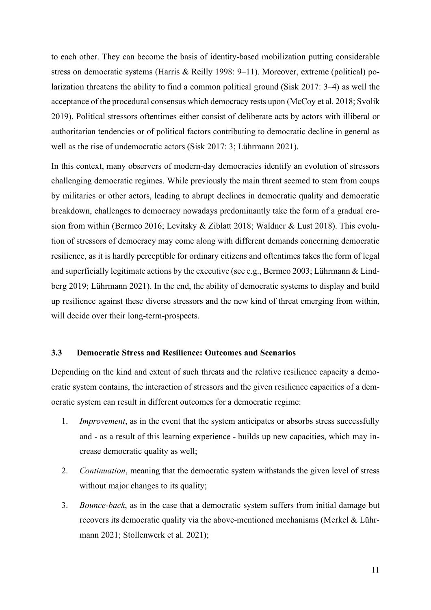to each other. They can become the basis of identity-based mobilization putting considerable stress on democratic systems [\(Harris & Reilly 1998: 9–11\).](#page-19-16) Moreover, extreme (political) polarization threatens the ability to find a common political ground [\(Sisk 2017: 3–4\)](#page-21-0) as well the acceptance of the procedural consensus which democracy rests upon [\(McCoy et al. 2018](#page-20-9)[; Svolik](#page-21-12)  [2019\).](#page-21-12) Political stressors oftentimes either consist of deliberate acts by actors with illiberal or authoritarian tendencies or of political factors contributing to democratic decline in general as well as the rise of undemocratic actors [\(Sisk 2017: 3](#page-21-0)[; Lührmann 2021\).](#page-20-10)

In this context, many observers of modern-day democracies identify an evolution of stressors challenging democratic regimes. While previously the main threat seemed to stem from coups by militaries or other actors, leading to abrupt declines in democratic quality and democratic breakdown, challenges to democracy nowadays predominantly take the form of a gradual erosion from within [\(Bermeo 2016](#page-19-12)[; Levitsky & Ziblatt 2018](#page-20-8)[; Waldner & Lust 2018\).](#page-21-13) This evolution of stressors of democracy may come along with different demands concerning democratic resilience, as it is hardly perceptible for ordinary citizens and oftentimes takes the form of legal and superficially legitimate actions by the executive [\(see e.g., Bermeo 2003](#page-19-17)[; Lührmann & Lind](#page-20-11)[berg 2019](#page-20-11)[; Lührmann 2021\).](#page-20-10) In the end, the ability of democratic systems to display and build up resilience against these diverse stressors and the new kind of threat emerging from within, will decide over their long-term-prospects.

#### **3.3 Democratic Stress and Resilience: Outcomes and Scenarios**

Depending on the kind and extent of such threats and the relative resilience capacity a democratic system contains, the interaction of stressors and the given resilience capacities of a democratic system can result in different outcomes for a democratic regime:

- 1. *Improvement*, as in the event that the system anticipates or absorbs stress successfully and - as a result of this learning experience - builds up new capacities, which may increase democratic quality as well;
- 2. *Continuation*, meaning that the democratic system withstands the given level of stress without major changes to its quality;
- 3. *Bounce-back*, as in the case that a democratic system suffers from initial damage but recovers its democratic quality via the above-mentioned mechanisms [\(Merkel & Lühr](#page-20-0)[mann 2021](#page-20-0)[; Stollenwerk et al. 2021\);](#page-21-8)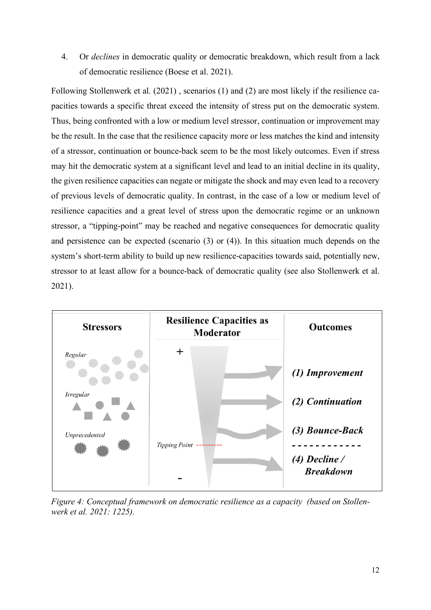4. Or *declines* in democratic quality or democratic breakdown, which result from a lack of democratic resilience [\(Boese et al. 2021\).](#page-19-0)

Following [Stollenwerk et al.](#page-21-8) [\(2021\)](#page-21-8) , scenarios (1) and (2) are most likely if the resilience capacities towards a specific threat exceed the intensity of stress put on the democratic system. Thus, being confronted with a low or medium level stressor, continuation or improvement may be the result. In the case that the resilience capacity more or less matches the kind and intensity of a stressor, continuation or bounce-back seem to be the most likely outcomes. Even if stress may hit the democratic system at a significant level and lead to an initial decline in its quality, the given resilience capacities can negate or mitigate the shock and may even lead to a recovery of previous levels of democratic quality. In contrast, in the case of a low or medium level of resilience capacities and a great level of stress upon the democratic regime or an unknown stressor, a "tipping-point" may be reached and negative consequences for democratic quality and persistence can be expected (scenario (3) or (4)). In this situation much depends on the system's short-term ability to build up new resilience-capacities towards said, potentially new, stressor to at least allow for a bounce-back of democratic quality [\(see also Stollenwerk et al.](#page-21-8)  [2021\).](#page-21-8)



*Figure 4: Conceptual framework on democratic resilience as a capacity [\(based on Stollen](#page-21-8)[werk et al. 2021: 1225\).](#page-21-8)*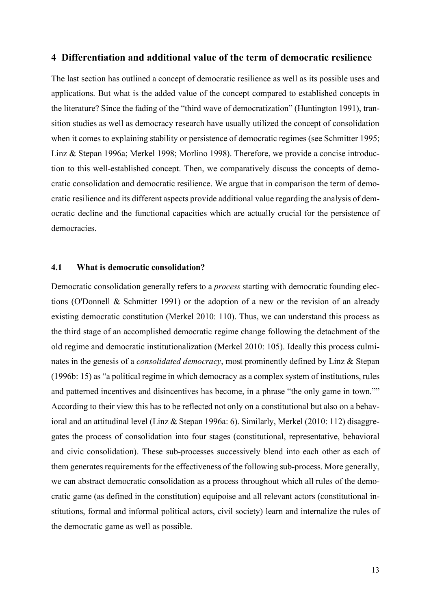#### **4 Differentiation and additional value of the term of democratic resilience**

The last section has outlined a concept of democratic resilience as well as its possible uses and applications. But what is the added value of the concept compared to established concepts in the literature? Since the fading of the "third wave of democratization[" \(Huntington 1991\),](#page-19-18) transition studies as well as democracy research have usually utilized the concept of consolidation when it comes to explaining stability or persistence of democratic regimes (see Schmitter 1995; Linz & Stepan 1996a; Merkel 1998; Morlino 1998). Therefore, we provide a concise introduction to this well-established concept. Then, we comparatively discuss the concepts of democratic consolidation and democratic resilience. We argue that in comparison the term of democratic resilience and its different aspects provide additional value regarding the analysis of democratic decline and the functional capacities which are actually crucial for the persistence of democracies.

#### **4.1 What is democratic consolidation?**

Democratic consolidation generally refers to a *process* starting with democratic founding elections [\(O'Donnell & Schmitter 1991\)](#page-20-12) or the adoption of a new or the revision of an already existing democratic constitution [\(Merkel 2010: 110\).](#page-20-13) Thus, we can understand this process as the third stage of an accomplished democratic regime change following the detachment of the old regime and democratic institutionalization [\(Merkel 2010: 105\).](#page-20-13) Ideally this process culminates in the genesis of a *consolidated democracy*, most prominently defined by [Linz & Stepan](#page-20-14) [\(1996b: 15\)](#page-20-14) as "a political regime in which democracy as a complex system of institutions, rules and patterned incentives and disincentives has become, in a phrase "the only game in town."" According to their view this has to be reflected not only on a constitutional but also on a behavioral and an attitudinal leve[l \(Linz & Stepan 1996a: 6\).](#page-20-15) Similarly, [Merkel](#page-20-13) [\(2010: 112\)](#page-20-13) disaggregates the process of consolidation into four stages (constitutional, representative, behavioral and civic consolidation). These sub-processes successively blend into each other as each of them generates requirements for the effectiveness of the following sub-process. More generally, we can abstract democratic consolidation as a process throughout which all rules of the democratic game (as defined in the constitution) equipoise and all relevant actors (constitutional institutions, formal and informal political actors, civil society) learn and internalize the rules of the democratic game as well as possible.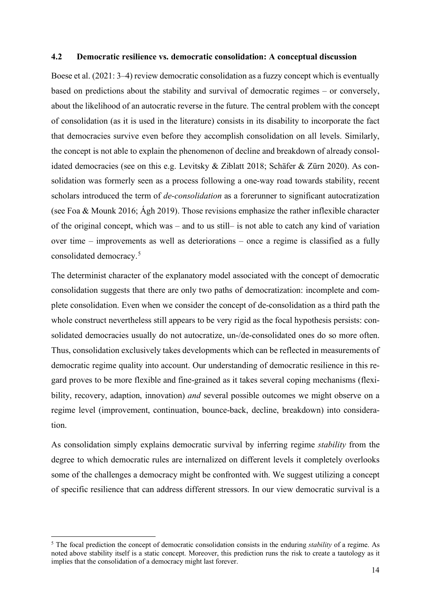#### **4.2 Democratic resilience vs. democratic consolidation: A conceptual discussion**

[Boese et al.](#page-19-0) [\(2021: 3–4\)](#page-19-0) review democratic consolidation as a fuzzy concept which is eventually based on predictions about the stability and survival of democratic regimes – or conversely, about the likelihood of an autocratic reverse in the future. The central problem with the concept of consolidation (as it is used in the literature) consists in its disability to incorporate the fact that democracies survive even before they accomplish consolidation on all levels. Similarly, the concept is not able to explain the phenomenon of decline and breakdown of already consolidated democracies [\(see on this e.g. Levitsky & Ziblatt 2018](#page-20-8)[; Schäfer & Zürn 2020\).](#page-21-14) As consolidation was formerly seen as a process following a one-way road towards stability, recent scholars introduced the term of *de-consolidation* as a forerunner to significant autocratization (see Foa & Mounk 2016; Ágh 2019). Those revisions emphasize the rather inflexible character of the original concept, which was – and to us still– is not able to catch any kind of variation over time – improvements as well as deteriorations – once a regime is classified as a fully consolidated democracy. [5](#page-16-0)

The determinist character of the explanatory model associated with the concept of democratic consolidation suggests that there are only two paths of democratization: incomplete and complete consolidation. Even when we consider the concept of de-consolidation as a third path the whole construct nevertheless still appears to be very rigid as the focal hypothesis persists: consolidated democracies usually do not autocratize, un-/de-consolidated ones do so more often. Thus, consolidation exclusively takes developments which can be reflected in measurements of democratic regime quality into account. Our understanding of democratic resilience in this regard proves to be more flexible and fine-grained as it takes several coping mechanisms (flexibility, recovery, adaption, innovation) *and* several possible outcomes we might observe on a regime level (improvement, continuation, bounce-back, decline, breakdown) into consideration.

As consolidation simply explains democratic survival by inferring regime *stability* from the degree to which democratic rules are internalized on different levels it completely overlooks some of the challenges a democracy might be confronted with. We suggest utilizing a concept of specific resilience that can address different stressors. In our view democratic survival is a

<span id="page-16-0"></span><sup>5</sup> The focal prediction the concept of democratic consolidation consists in the enduring *stability* of a regime. As noted above stability itself is a static concept. Moreover, this prediction runs the risk to create a tautology as it implies that the consolidation of a democracy might last forever.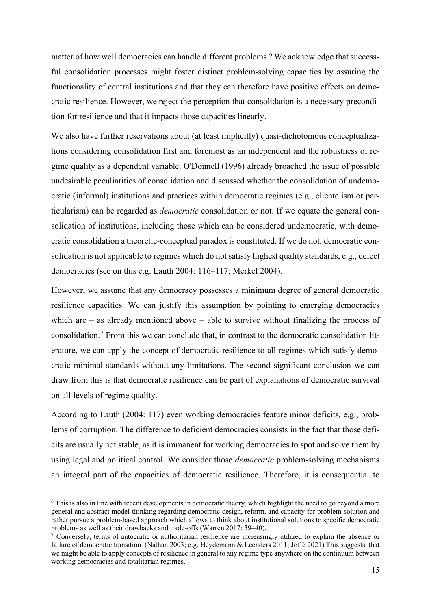matter of how well democracies can handle different problems.<sup>[6](#page-17-0)</sup> We acknowledge that successful consolidation processes might foster distinct problem-solving capacities by assuring the functionality of central institutions and that they can therefore have positive effects on democratic resilience. However, we reject the perception that consolidation is a necessary precondition for resilience and that it impacts those capacities linearly.

We also have further reservations about (at least implicitly) quasi-dichotomous conceptualizations considering consolidation first and foremost as an independent and the robustness of regime quality as a dependent variable. [O'Donnell](#page-20-16) [\(1996\)](#page-20-16) already broached the issue of possible undesirable peculiarities of consolidation and discussed whether the consolidation of undemocratic (informal) institutions and practices within democratic regimes (e.g., clientelism or particularism) can be regarded as *democratic* consolidation or not. If we equate the general consolidation of institutions, including those which can be considered undemocratic, with democratic consolidation a theoretic-conceptual paradox is constituted. If we do not, democratic consolidation is not applicable to regimes which do not satisfy highest quality standards, e.g., defect democracies [\(see on this e.g. Lauth 2004: 116–117](#page-20-17)[; Merkel 2004\).](#page-20-18)

However, we assume that any democracy possesses a minimum degree of general democratic resilience capacities. We can justify this assumption by pointing to emerging democracies which are  $-$  as already mentioned above  $-$  able to survive without finalizing the process of consolidation. [7](#page-17-1) From this we can conclude that, in contrast to the democratic consolidation literature, we can apply the concept of democratic resilience to all regimes which satisfy democratic minimal standards without any limitations. The second significant conclusion we can draw from this is that democratic resilience can be part of explanations of democratic survival on all levels of regime quality.

According to [Lauth](#page-20-17) [\(2004: 117\)](#page-20-17) even working democracies feature minor deficits, e.g., problems of corruption. The difference to deficient democracies consists in the fact that those deficits are usually not stable, as it is immanent for working democracies to spot and solve them by using legal and political control. We consider those *democratic* problem-solving mechanisms an integral part of the capacities of democratic resilience. Therefore, it is consequential to

<span id="page-17-0"></span><sup>&</sup>lt;sup>6</sup> This is also in line with recent developments in democratic theory, which highlight the need to go beyond a more general and abstract model-thinking regarding democratic design, reform, and capacity for problem-solution and rather pursue a problem-based approach which allows to think about institutional solutions to specific democratic problems as well as their drawbacks and trade-offs [\(Warren 2017: 39–40\).](#page-21-15)

<span id="page-17-1"></span><sup>7</sup> Conversely, terms of autocratic or authoritarian resilience are increasingly utilized to explain the absence or failure of democratic transition [\(Nathan 2003;](#page-20-19) e.g. [Heydemann & Leenders 2011](#page-19-19)[; Joffé 2021\)](#page-19-20) This suggests, that we might be able to apply concepts of resilience in general to any regime type anywhere on the continuum between working democracies and totalitarian regimes.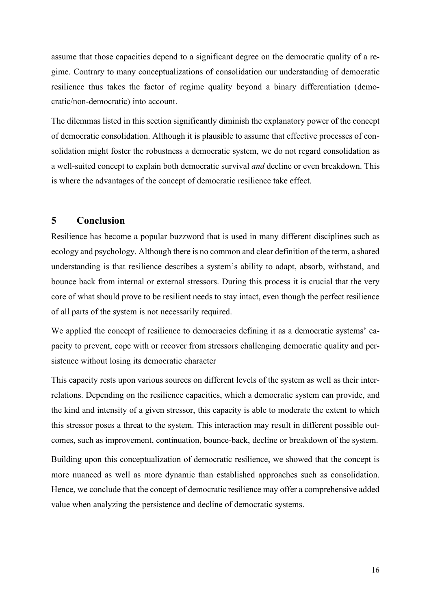assume that those capacities depend to a significant degree on the democratic quality of a regime. Contrary to many conceptualizations of consolidation our understanding of democratic resilience thus takes the factor of regime quality beyond a binary differentiation (democratic/non-democratic) into account.

The dilemmas listed in this section significantly diminish the explanatory power of the concept of democratic consolidation. Although it is plausible to assume that effective processes of consolidation might foster the robustness a democratic system, we do not regard consolidation as a well-suited concept to explain both democratic survival *and* decline or even breakdown. This is where the advantages of the concept of democratic resilience take effect.

#### **5 Conclusion**

Resilience has become a popular buzzword that is used in many different disciplines such as ecology and psychology. Although there is no common and clear definition of the term, a shared understanding is that resilience describes a system's ability to adapt, absorb, withstand, and bounce back from internal or external stressors. During this process it is crucial that the very core of what should prove to be resilient needs to stay intact, even though the perfect resilience of all parts of the system is not necessarily required.

We applied the concept of resilience to democracies defining it as a democratic systems' capacity to prevent, cope with or recover from stressors challenging democratic quality and persistence without losing its democratic character

This capacity rests upon various sources on different levels of the system as well as their interrelations. Depending on the resilience capacities, which a democratic system can provide, and the kind and intensity of a given stressor, this capacity is able to moderate the extent to which this stressor poses a threat to the system. This interaction may result in different possible outcomes, such as improvement, continuation, bounce-back, decline or breakdown of the system.

Building upon this conceptualization of democratic resilience, we showed that the concept is more nuanced as well as more dynamic than established approaches such as consolidation. Hence, we conclude that the concept of democratic resilience may offer a comprehensive added value when analyzing the persistence and decline of democratic systems.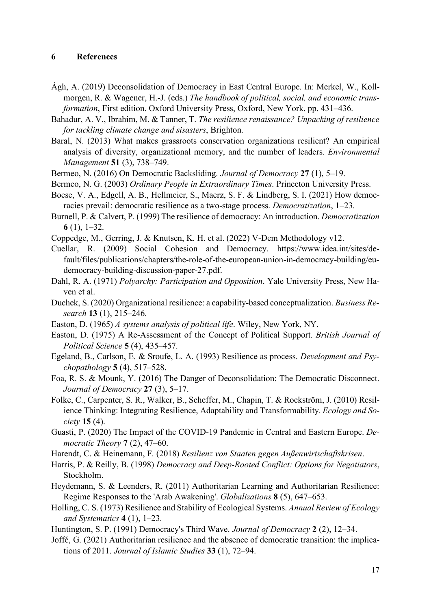#### **6 References**

- Ágh, A. (2019) Deconsolidation of Democracy in East Central Europe. In: Merkel, W., Kollmorgen, R. & Wagener, H.-J. (eds.) *The handbook of political, social, and economic transformation*, First edition. Oxford University Press, Oxford, New York, pp. 431–436.
- <span id="page-19-7"></span>Bahadur, A. V., Ibrahim, M. & Tanner, T. *The resilience renaissance? Unpacking of resilience for tackling climate change and sisasters*, Brighton.
- <span id="page-19-6"></span>Baral, N. (2013) What makes grassroots conservation organizations resilient? An empirical analysis of diversity, organizational memory, and the number of leaders. *Environmental Management* **51** (3), 738–749.
- <span id="page-19-12"></span>Bermeo, N. (2016) On Democratic Backsliding. *Journal of Democracy* **27** (1), 5–19.
- <span id="page-19-17"></span>Bermeo, N. G. (2003) *Ordinary People in Extraordinary Times*. Princeton University Press.
- <span id="page-19-0"></span>Boese, V. A., Edgell, A. B., Hellmeier, S., Maerz, S. F. & Lindberg, S. I. (2021) How democracies prevail: democratic resilience as a two-stage process. *Democratization*, 1–23.
- <span id="page-19-10"></span>Burnell, P. & Calvert, P. (1999) The resilience of democracy: An introduction. *Democratization* **6** (1), 1–32.
- <span id="page-19-9"></span>Coppedge, M., Gerring, J. & Knutsen, K. H. et al. (2022) V-Dem Methodology v12.
- <span id="page-19-15"></span>Cuellar, R. (2009) Social Cohesion and Democracy. https://www.idea.int/sites/default/files/publications/chapters/the-role-of-the-european-union-in-democracy-building/eudemocracy-building-discussion-paper-27.pdf.
- <span id="page-19-8"></span>Dahl, R. A. (1971) *Polyarchy: Participation and Opposition*. Yale University Press, New Haven et al.
- <span id="page-19-4"></span>Duchek, S. (2020) Organizational resilience: a capability-based conceptualization. *Business Research* **13** (1), 215–246.
- <span id="page-19-13"></span>Easton, D. (1965) *A systems analysis of political life*. Wiley, New York, NY.
- <span id="page-19-14"></span>Easton, D. (1975) A Re-Assessment of the Concept of Political Support. *British Journal of Political Science* **5** (4), 435–457.
- <span id="page-19-3"></span>Egeland, B., Carlson, E. & Sroufe, L. A. (1993) Resilience as process. *Development and Psychopathology* **5** (4), 517–528.
- Foa, R. S. & Mounk, Y. (2016) The Danger of Deconsolidation: The Democratic Disconnect. *Journal of Democracy* **27** (3), 5–17.
- <span id="page-19-5"></span>Folke, C., Carpenter, S. R., Walker, B., Scheffer, M., Chapin, T. & Rockström, J. (2010) Resilience Thinking: Integrating Resilience, Adaptability and Transformability. *Ecology and Society* **15** (4).
- <span id="page-19-11"></span>Guasti, P. (2020) The Impact of the COVID-19 Pandemic in Central and Eastern Europe. *Democratic Theory* **7** (2), 47–60.
- <span id="page-19-1"></span>Harendt, C. & Heinemann, F. (2018) *Resilienz von Staaten gegen Außenwirtschaftskrisen*.
- <span id="page-19-16"></span>Harris, P. & Reilly, B. (1998) *Democracy and Deep-Rooted Conflict: Options for Negotiators*, Stockholm.
- <span id="page-19-19"></span>Heydemann, S. & Leenders, R. (2011) Authoritarian Learning and Authoritarian Resilience: Regime Responses to the 'Arab Awakening'. *Globalizations* **8** (5), 647–653.
- <span id="page-19-2"></span>Holling, C. S. (1973) Resilience and Stability of Ecological Systems. *Annual Review of Ecology and Systematics* **4** (1), 1–23.
- <span id="page-19-18"></span>Huntington, S. P. (1991) Democracy's Third Wave. *Journal of Democracy* **2** (2), 12–34.
- <span id="page-19-20"></span>Joffé, G. (2021) Authoritarian resilience and the absence of democratic transition: the implications of 2011. *Journal of Islamic Studies* **33** (1), 72–94.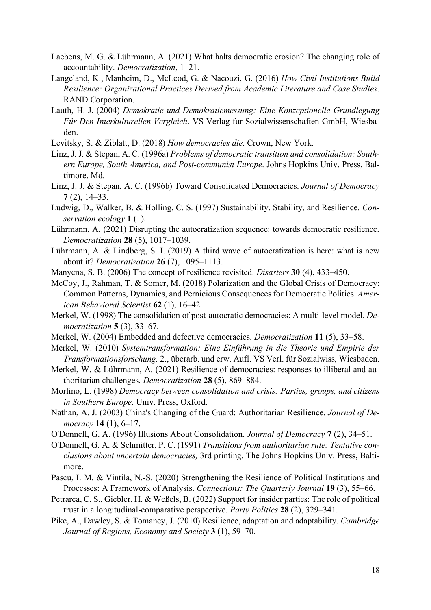<span id="page-20-6"></span>Laebens, M. G. & Lührmann, A. (2021) What halts democratic erosion? The changing role of accountability. *Democratization*, 1–21.

- <span id="page-20-2"></span>Langeland, K., Manheim, D., McLeod, G. & Nacouzi, G. (2016) *How Civil Institutions Build Resilience: Organizational Practices Derived from Academic Literature and Case Studies*. RAND Corporation.
- <span id="page-20-17"></span>Lauth, H.-J. (2004) *Demokratie und Demokratiemessung: Eine Konzeptionelle Grundlegung Für Den Interkulturellen Vergleich*. VS Verlag fur Sozialwissenschaften GmbH, Wiesbaden.
- <span id="page-20-8"></span>Levitsky, S. & Ziblatt, D. (2018) *How democracies die*. Crown, New York.
- <span id="page-20-15"></span>Linz, J. J. & Stepan, A. C. (1996a) *Problems of democratic transition and consolidation: Southern Europe, South America, and Post-communist Europe*. Johns Hopkins Univ. Press, Baltimore, Md.
- <span id="page-20-14"></span>Linz, J. J. & Stepan, A. C. (1996b) Toward Consolidated Democracies. *Journal of Democracy* **7** (2), 14–33.
- <span id="page-20-3"></span>Ludwig, D., Walker, B. & Holling, C. S. (1997) Sustainability, Stability, and Resilience. *Conservation ecology* **1** (1).
- <span id="page-20-10"></span>Lührmann, A. (2021) Disrupting the autocratization sequence: towards democratic resilience. *Democratization* **28** (5), 1017–1039.
- <span id="page-20-11"></span>Lührmann, A. & Lindberg, S. I. (2019) A third wave of autocratization is here: what is new about it? *Democratization* **26** (7), 1095–1113.
- <span id="page-20-4"></span>Manyena, S. B. (2006) The concept of resilience revisited. *Disasters* **30** (4), 433–450.
- <span id="page-20-9"></span>McCoy, J., Rahman, T. & Somer, M. (2018) Polarization and the Global Crisis of Democracy: Common Patterns, Dynamics, and Pernicious Consequences for Democratic Polities. *American Behavioral Scientist* **62** (1), 16–42.
- Merkel, W. (1998) The consolidation of post-autocratic democracies: A multi-level model. *Democratization* **5** (3), 33–67.
- <span id="page-20-18"></span>Merkel, W. (2004) Embedded and defective democracies. *Democratization* **11** (5), 33–58.
- <span id="page-20-13"></span>Merkel, W. (2010) *Systemtransformation: Eine Einführung in die Theorie und Empirie der Transformationsforschung,* 2., überarb. und erw. Aufl. VS Verl. für Sozialwiss, Wiesbaden.
- <span id="page-20-0"></span>Merkel, W. & Lührmann, A. (2021) Resilience of democracies: responses to illiberal and authoritarian challenges. *Democratization* **28** (5), 869–884.
- Morlino, L. (1998) *Democracy between consolidation and crisis: Parties, groups, and citizens in Southern Europe*. Univ. Press, Oxford.
- <span id="page-20-19"></span>Nathan, A. J. (2003) China's Changing of the Guard: Authoritarian Resilience. *Journal of Democracy* **14** (1), 6–17.
- <span id="page-20-16"></span>O'Donnell, G. A. (1996) Illusions About Consolidation. *Journal of Democracy* **7** (2), 34–51.
- <span id="page-20-12"></span>O'Donnell, G. A. & Schmitter, P. C. (1991) *Transitions from authoritarian rule: Tentative conclusions about uncertain democracies,* 3rd printing. The Johns Hopkins Univ. Press, Baltimore.
- <span id="page-20-5"></span>Pascu, I. M. & Vintila, N.-S. (2020) Strengthening the Resilience of Political Institutions and Processes: A Framework of Analysis. *Connections: The Quarterly Journal* **19** (3), 55–66.
- <span id="page-20-7"></span>Petrarca, C. S., Giebler, H. & Weßels, B. (2022) Support for insider parties: The role of political trust in a longitudinal-comparative perspective. *Party Politics* **28** (2), 329–341.
- <span id="page-20-1"></span>Pike, A., Dawley, S. & Tomaney, J. (2010) Resilience, adaptation and adaptability. *Cambridge Journal of Regions, Economy and Society* **3** (1), 59–70.